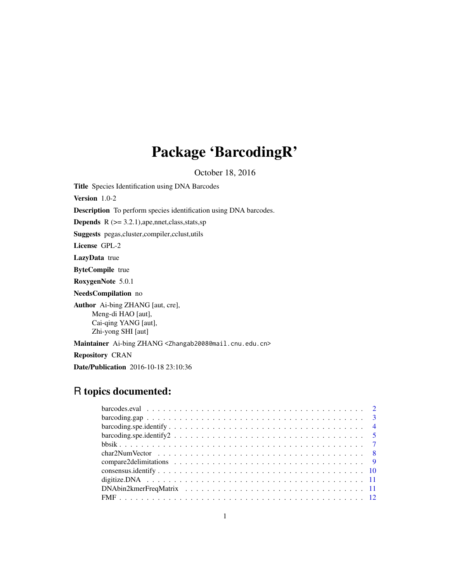# Package 'BarcodingR'

October 18, 2016

Title Species Identification using DNA Barcodes Version 1.0-2 Description To perform species identification using DNA barcodes. **Depends**  $R$  ( $>= 3.2.1$ ), ape, nnet, class, stats, sp Suggests pegas,cluster,compiler,cclust,utils License GPL-2 LazyData true ByteCompile true RoxygenNote 5.0.1 NeedsCompilation no Author Ai-bing ZHANG [aut, cre], Meng-di HAO [aut], Cai-qing YANG [aut], Zhi-yong SHI [aut] Maintainer Ai-bing ZHANG <Zhangab2008@mail.cnu.edu.cn> Repository CRAN Date/Publication 2016-10-18 23:10:36

# R topics documented: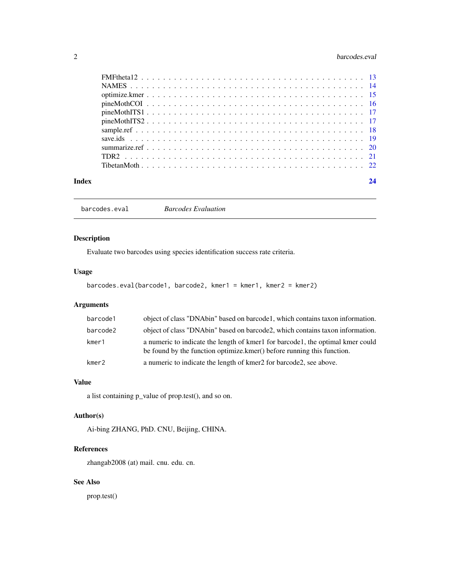# <span id="page-1-0"></span>2 barcodes.eval

| Index | 24 |
|-------|----|

barcodes.eval *Barcodes Evaluation*

# Description

Evaluate two barcodes using species identification success rate criteria.

# Usage

```
barcodes.eval(barcode1, barcode2, kmer1 = kmer1, kmer2 = kmer2)
```
# Arguments

| barcode1 | object of class "DNAbin" based on barcode1, which contains taxon information.                                                                            |
|----------|----------------------------------------------------------------------------------------------------------------------------------------------------------|
| barcode2 | object of class "DNAbin" based on barcode2, which contains taxon information.                                                                            |
| kmer1    | a numeric to indicate the length of kmer1 for barcode1, the optimal kmer could<br>be found by the function optimize.kmer() before running this function. |
| kmer2    | a numeric to indicate the length of kmer2 for barcode2, see above.                                                                                       |

#### Value

a list containing p\_value of prop.test(), and so on.

# Author(s)

Ai-bing ZHANG, PhD. CNU, Beijing, CHINA.

# References

zhangab2008 (at) mail. cnu. edu. cn.

# See Also

prop.test()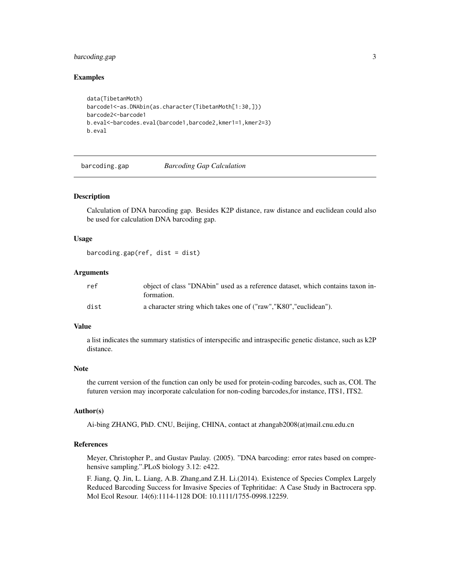# <span id="page-2-0"></span>barcoding.gap 3

#### Examples

```
data(TibetanMoth)
barcode1<-as.DNAbin(as.character(TibetanMoth[1:30,]))
barcode2<-barcode1
b.eval<-barcodes.eval(barcode1,barcode2,kmer1=1,kmer2=3)
b.eval
```
barcoding.gap *Barcoding Gap Calculation*

#### Description

Calculation of DNA barcoding gap. Besides K2P distance, raw distance and euclidean could also be used for calculation DNA barcoding gap.

# Usage

 $barcoding.gap(ref, dist = dist)$ 

#### **Arguments**

| ref  | object of class "DNAbin" used as a reference dataset, which contains taxon in-<br>formation. |
|------|----------------------------------------------------------------------------------------------|
| dist | a character string which takes one of ("raw","K80","euclidean").                             |

#### Value

a list indicates the summary statistics of interspecific and intraspecific genetic distance, such as k2P distance.

#### Note

the current version of the function can only be used for protein-coding barcodes, such as, COI. The futuren version may incorporate calculation for non-coding barcodes,for instance, ITS1, ITS2.

#### Author(s)

Ai-bing ZHANG, PhD. CNU, Beijing, CHINA, contact at zhangab2008(at)mail.cnu.edu.cn

#### References

Meyer, Christopher P., and Gustav Paulay. (2005). "DNA barcoding: error rates based on comprehensive sampling.".PLoS biology 3.12: e422.

F. Jiang, Q. Jin, L. Liang, A.B. Zhang,and Z.H. Li.(2014). Existence of Species Complex Largely Reduced Barcoding Success for Invasive Species of Tephritidae: A Case Study in Bactrocera spp. Mol Ecol Resour. 14(6):1114-1128 DOI: 10.1111/1755-0998.12259.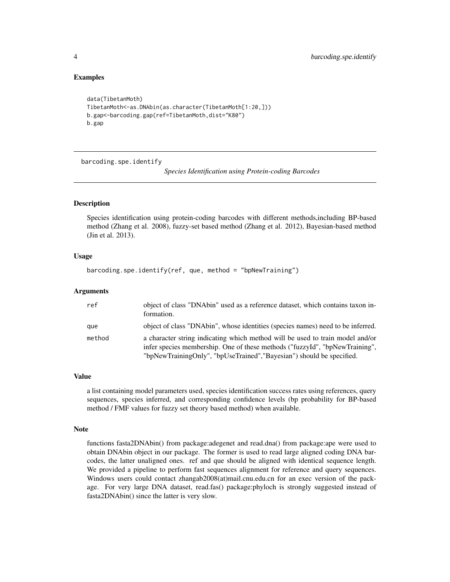## Examples

```
data(TibetanMoth)
TibetanMoth<-as.DNAbin(as.character(TibetanMoth[1:20,]))
b.gap<-barcoding.gap(ref=TibetanMoth,dist="K80")
b.gap
```
barcoding.spe.identify

*Species Identification using Protein-coding Barcodes*

#### Description

Species identification using protein-coding barcodes with different methods,including BP-based method (Zhang et al. 2008), fuzzy-set based method (Zhang et al. 2012), Bayesian-based method (Jin et al. 2013).

#### Usage

```
barcoding.spe.identify(ref, que, method = "bpNewTraining")
```
#### Arguments

| ref    | object of class "DNAbin" used as a reference dataset, which contains taxon in-<br>formation.                                                                                                                                          |
|--------|---------------------------------------------------------------------------------------------------------------------------------------------------------------------------------------------------------------------------------------|
| que    | object of class "DNAbin", whose identities (species names) need to be inferred.                                                                                                                                                       |
| method | a character string indicating which method will be used to train model and/or<br>infer species membership. One of these methods ("fuzzyId", "bpNewTraining",<br>"bpNewTrainingOnly", "bpUseTrained", "Bayesian") should be specified. |

#### Value

a list containing model parameters used, species identification success rates using references, query sequences, species inferred, and corresponding confidence levels (bp probability for BP-based method / FMF values for fuzzy set theory based method) when available.

#### Note

functions fasta2DNAbin() from package:adegenet and read.dna() from package:ape were used to obtain DNAbin object in our package. The former is used to read large aligned coding DNA barcodes, the latter unaligned ones. ref and que should be aligned with identical sequence length. We provided a pipeline to perform fast sequences alignment for reference and query sequences. Windows users could contact zhangab2008(at)mail.cnu.edu.cn for an exec version of the package. For very large DNA dataset, read.fas() package:phyloch is strongly suggested instead of fasta2DNAbin() since the latter is very slow.

<span id="page-3-0"></span>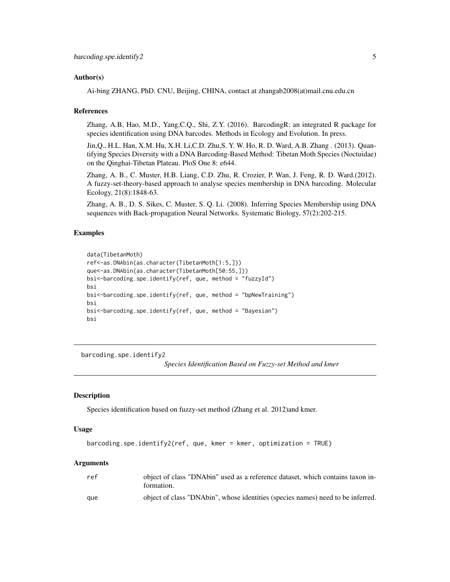#### <span id="page-4-0"></span>Author(s)

Ai-bing ZHANG, PhD. CNU, Beijing, CHINA, contact at zhangab2008(at)mail.cnu.edu.cn

#### References

Zhang, A.B, Hao, M.D., Yang,C.Q., Shi, Z.Y. (2016). BarcodingR: an integrated R package for species identification using DNA barcodes. Methods in Ecology and Evolution. In press.

Jin,Q., H.L. Han, X.M. Hu, X.H. Li,C.D. Zhu,S. Y. W. Ho, R. D. Ward, A.B. Zhang . (2013). Quantifying Species Diversity with a DNA Barcoding-Based Method: Tibetan Moth Species (Noctuidae) on the Qinghai-Tibetan Plateau. PloS One 8: e644.

Zhang, A. B., C. Muster, H.B. Liang, C.D. Zhu, R. Crozier, P. Wan, J. Feng, R. D. Ward.(2012). A fuzzy-set-theory-based approach to analyse species membership in DNA barcoding. Molecular Ecology, 21(8):1848-63.

Zhang, A. B., D. S. Sikes, C. Muster, S. Q. Li. (2008). Inferring Species Membership using DNA sequences with Back-propagation Neural Networks. Systematic Biology, 57(2):202-215.

## Examples

```
data(TibetanMoth)
ref<-as.DNAbin(as.character(TibetanMoth[1:5,]))
que<-as.DNAbin(as.character(TibetanMoth[50:55,]))
bsi<-barcoding.spe.identify(ref, que, method = "fuzzyId")
bsi
bsi<-barcoding.spe.identify(ref, que, method = "bpNewTraining")
bsi
bsi<-barcoding.spe.identify(ref, que, method = "Bayesian")
bsi
```
barcoding.spe.identify2

*Species Identification Based on Fuzzy-set Method and kmer*

#### **Description**

Species identification based on fuzzy-set method (Zhang et al. 2012)and kmer.

#### Usage

```
barcoding.spe.identify2(ref, que, kmer = kmer, optimization = TRUE)
```
#### Arguments

| ref | object of class "DNAbin" used as a reference dataset, which contains taxon in-<br>formation. |
|-----|----------------------------------------------------------------------------------------------|
| aue | object of class "DNAbin", whose identities (species names) need to be inferred.              |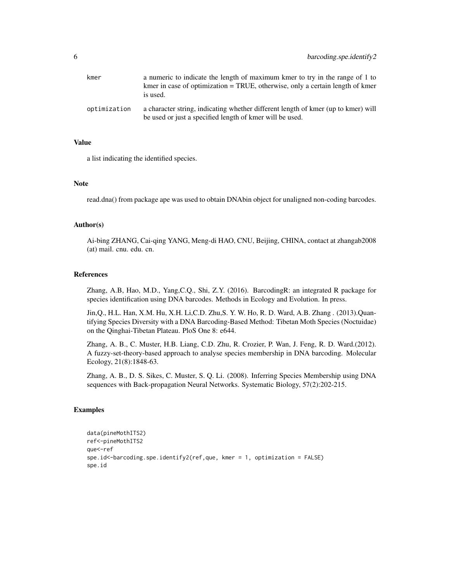| kmer         | a numeric to indicate the length of maximum kmer to try in the range of 1 to<br>kmer in case of optimization $=$ TRUE, otherwise, only a certain length of kmer<br>is used. |
|--------------|-----------------------------------------------------------------------------------------------------------------------------------------------------------------------------|
| optimization | a character string, indicating whether different length of kmer (up to kmer) will<br>be used or just a specified length of kmer will be used.                               |

# Value

a list indicating the identified species.

#### Note

read.dna() from package ape was used to obtain DNAbin object for unaligned non-coding barcodes.

#### Author(s)

Ai-bing ZHANG, Cai-qing YANG, Meng-di HAO, CNU, Beijing, CHINA, contact at zhangab2008 (at) mail. cnu. edu. cn.

#### References

Zhang, A.B, Hao, M.D., Yang,C.Q., Shi, Z.Y. (2016). BarcodingR: an integrated R package for species identification using DNA barcodes. Methods in Ecology and Evolution. In press.

Jin,Q., H.L. Han, X.M. Hu, X.H. Li,C.D. Zhu,S. Y. W. Ho, R. D. Ward, A.B. Zhang . (2013).Quantifying Species Diversity with a DNA Barcoding-Based Method: Tibetan Moth Species (Noctuidae) on the Qinghai-Tibetan Plateau. PloS One 8: e644.

Zhang, A. B., C. Muster, H.B. Liang, C.D. Zhu, R. Crozier, P. Wan, J. Feng, R. D. Ward.(2012). A fuzzy-set-theory-based approach to analyse species membership in DNA barcoding. Molecular Ecology, 21(8):1848-63.

Zhang, A. B., D. S. Sikes, C. Muster, S. Q. Li. (2008). Inferring Species Membership using DNA sequences with Back-propagation Neural Networks. Systematic Biology, 57(2):202-215.

```
data(pineMothITS2)
ref<-pineMothITS2
que<-ref
spe.id<-barcoding.spe.identify2(ref,que, kmer = 1, optimization = FALSE)
spe.id
```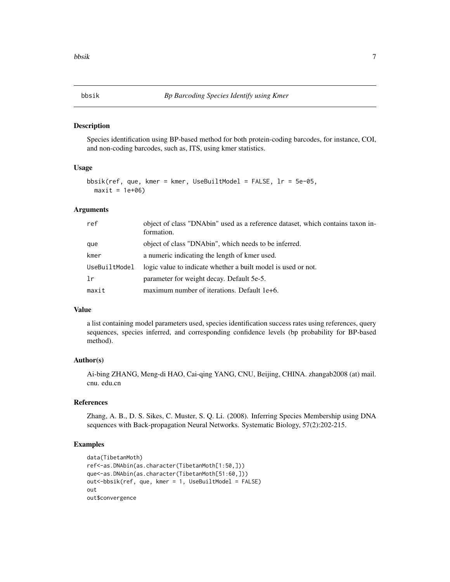<span id="page-6-0"></span>

#### Description

Species identification using BP-based method for both protein-coding barcodes, for instance, COI, and non-coding barcodes, such as, ITS, using kmer statistics.

#### Usage

```
bbsik(ref, que, kmer = kmer, UseBuiltModel = FALSE, lr = 5e-05,
 maxit = 1e+06
```
# Arguments

| ref           | object of class "DNAbin" used as a reference dataset, which contains taxon in-<br>formation. |
|---------------|----------------------------------------------------------------------------------------------|
| que           | object of class "DNAbin", which needs to be inferred.                                        |
| kmer          | a numeric indicating the length of kmer used.                                                |
| UseBuiltModel | logic value to indicate whether a built model is used or not.                                |
| 1r            | parameter for weight decay. Default 5e-5.                                                    |
| maxit         | maximum number of iterations. Default 1e+6.                                                  |

#### Value

a list containing model parameters used, species identification success rates using references, query sequences, species inferred, and corresponding confidence levels (bp probability for BP-based method).

# Author(s)

Ai-bing ZHANG, Meng-di HAO, Cai-qing YANG, CNU, Beijing, CHINA. zhangab2008 (at) mail. cnu. edu.cn

# References

Zhang, A. B., D. S. Sikes, C. Muster, S. Q. Li. (2008). Inferring Species Membership using DNA sequences with Back-propagation Neural Networks. Systematic Biology, 57(2):202-215.

```
data(TibetanMoth)
ref<-as.DNAbin(as.character(TibetanMoth[1:50,]))
que<-as.DNAbin(as.character(TibetanMoth[51:60,]))
out<-bbsik(ref, que, kmer = 1, UseBuiltModel = FALSE)
out
out$convergence
```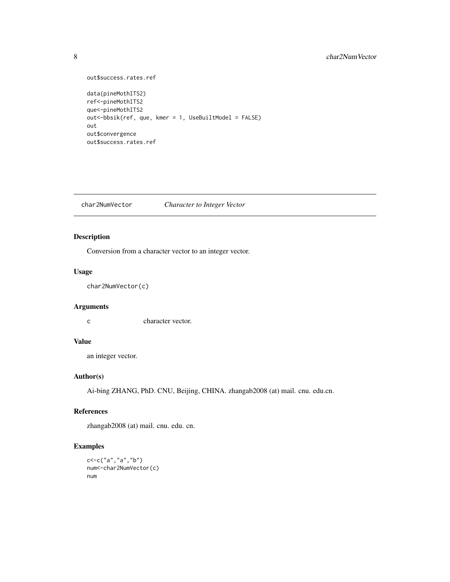# <span id="page-7-0"></span>8 char2NumVector

```
out$success.rates.ref
data(pineMothITS2)
ref<-pineMothITS2
que<-pineMothITS2
out<-bbsik(ref, que, kmer = 1, UseBuiltModel = FALSE)
out
out$convergence
out$success.rates.ref
```
char2NumVector *Character to Integer Vector*

# Description

Conversion from a character vector to an integer vector.

# Usage

char2NumVector(c)

# Arguments

c character vector.

# Value

an integer vector.

# Author(s)

Ai-bing ZHANG, PhD. CNU, Beijing, CHINA. zhangab2008 (at) mail. cnu. edu.cn.

# References

zhangab2008 (at) mail. cnu. edu. cn.

```
c<-c("a","a","b")
num<-char2NumVector(c)
num
```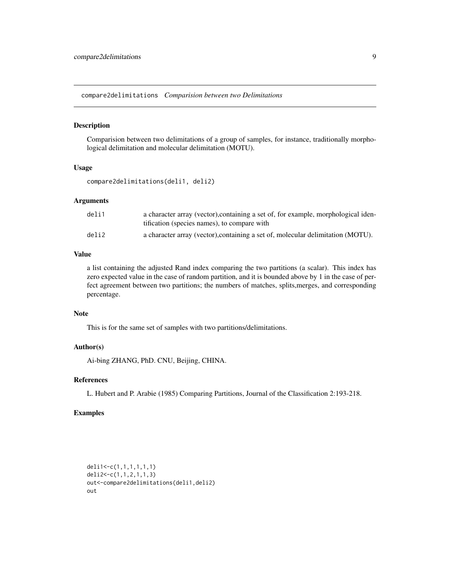<span id="page-8-0"></span>compare2delimitations *Comparision between two Delimitations*

#### Description

Comparision between two delimitations of a group of samples, for instance, traditionally morphological delimitation and molecular delimitation (MOTU).

#### Usage

compare2delimitations(deli1, deli2)

#### Arguments

| deli1 | a character array (vector), containing a set of, for example, morphological iden-<br>tification (species names), to compare with |
|-------|----------------------------------------------------------------------------------------------------------------------------------|
| deli2 | a character array (vector), containing a set of, molecular delimitation (MOTU).                                                  |

# Value

a list containing the adjusted Rand index comparing the two partitions (a scalar). This index has zero expected value in the case of random partition, and it is bounded above by 1 in the case of perfect agreement between two partitions; the numbers of matches, splits,merges, and corresponding percentage.

#### Note

This is for the same set of samples with two partitions/delimitations.

# Author(s)

Ai-bing ZHANG, PhD. CNU, Beijing, CHINA.

# References

L. Hubert and P. Arabie (1985) Comparing Partitions, Journal of the Classification 2:193-218.

```
deli1<-c(1,1,1,1,1,1)
deli2<-c(1,1,2,1,1,3)
out<-compare2delimitations(deli1,deli2)
out
```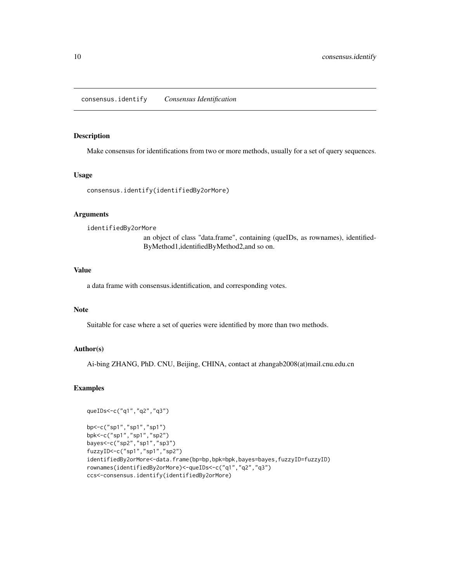#### <span id="page-9-0"></span>Description

Make consensus for identifications from two or more methods, usually for a set of query sequences.

# Usage

consensus.identify(identifiedBy2orMore)

# Arguments

identifiedBy2orMore

an object of class "data.frame", containing (queIDs, as rownames), identified-ByMethod1,identifiedByMethod2,and so on.

# Value

a data frame with consensus.identification, and corresponding votes.

#### Note

Suitable for case where a set of queries were identified by more than two methods.

# Author(s)

Ai-bing ZHANG, PhD. CNU, Beijing, CHINA, contact at zhangab2008(at)mail.cnu.edu.cn

# Examples

```
queIDs<-c("q1","q2","q3")
```
bp<-c("sp1","sp1","sp1") bpk<-c("sp1","sp1","sp2") bayes<-c("sp2","sp1","sp3") fuzzyID<-c("sp1","sp1","sp2") identifiedBy2orMore<-data.frame(bp=bp,bpk=bpk,bayes=bayes,fuzzyID=fuzzyID) rownames(identifiedBy2orMore)<-queIDs<-c("q1","q2","q3") ccs<-consensus.identify(identifiedBy2orMore)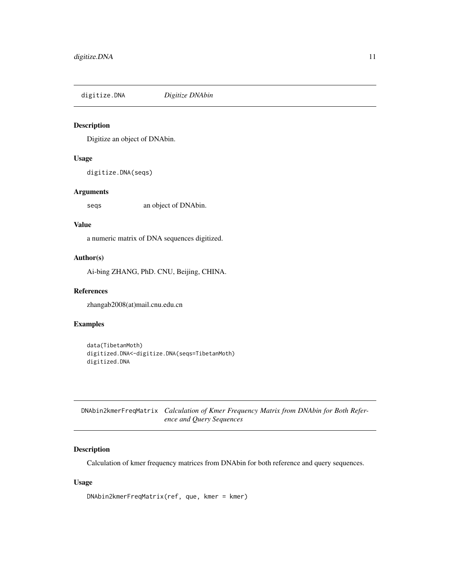<span id="page-10-0"></span>digitize.DNA *Digitize DNAbin*

# Description

Digitize an object of DNAbin.

#### Usage

digitize.DNA(seqs)

# Arguments

seqs an object of DNAbin.

# Value

a numeric matrix of DNA sequences digitized.

#### Author(s)

Ai-bing ZHANG, PhD. CNU, Beijing, CHINA.

# References

zhangab2008(at)mail.cnu.edu.cn

# Examples

```
data(TibetanMoth)
digitized.DNA<-digitize.DNA(seqs=TibetanMoth)
digitized.DNA
```
DNAbin2kmerFreqMatrix *Calculation of Kmer Frequency Matrix from DNAbin for Both Reference and Query Sequences*

# Description

Calculation of kmer frequency matrices from DNAbin for both reference and query sequences.

#### Usage

```
DNAbin2kmerFreqMatrix(ref, que, kmer = kmer)
```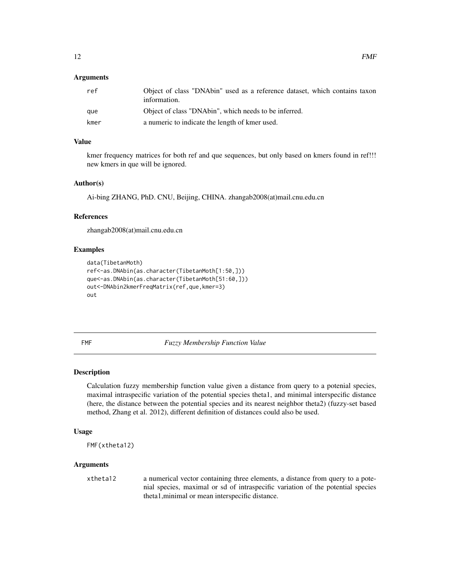#### <span id="page-11-0"></span>Arguments

| ref  | Object of class "DNAbin" used as a reference dataset, which contains taxon<br>information. |
|------|--------------------------------------------------------------------------------------------|
| aue  | Object of class "DNAbin", which needs to be inferred.                                      |
| kmer | a numeric to indicate the length of kmer used.                                             |

#### Value

kmer frequency matrices for both ref and que sequences, but only based on kmers found in ref!!! new kmers in que will be ignored.

#### Author(s)

Ai-bing ZHANG, PhD. CNU, Beijing, CHINA. zhangab2008(at)mail.cnu.edu.cn

#### References

zhangab2008(at)mail.cnu.edu.cn

#### Examples

```
data(TibetanMoth)
ref<-as.DNAbin(as.character(TibetanMoth[1:50,]))
que<-as.DNAbin(as.character(TibetanMoth[51:60,]))
out<-DNAbin2kmerFreqMatrix(ref,que,kmer=3)
out
```
FMF *Fuzzy Membership Function Value*

#### Description

Calculation fuzzy membership function value given a distance from query to a potenial species, maximal intraspecific variation of the potential species theta1, and minimal interspecific distance (here, the distance between the potential species and its nearest neighbor theta2) (fuzzy-set based method, Zhang et al. 2012), different definition of distances could also be used.

#### Usage

```
FMF(xtheta12)
```
# Arguments

xtheta12 a numerical vector containing three elements, a distance from query to a potenial species, maximal or sd of intraspecific variation of the potential species theta1,minimal or mean interspecific distance.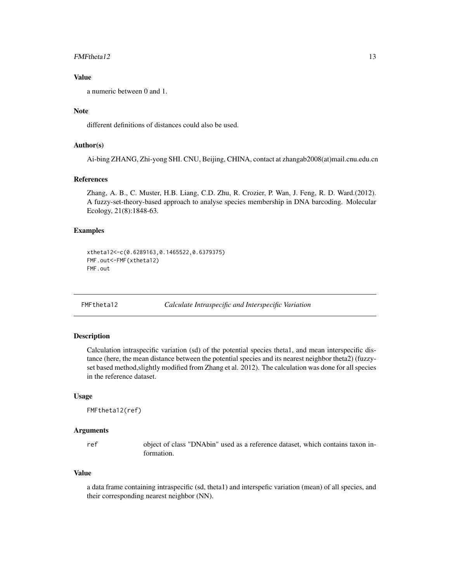#### <span id="page-12-0"></span> $FMFtheta12$  13

# Value

a numeric between 0 and 1.

## Note

different definitions of distances could also be used.

#### Author(s)

Ai-bing ZHANG, Zhi-yong SHI. CNU, Beijing, CHINA, contact at zhangab2008(at)mail.cnu.edu.cn

#### References

Zhang, A. B., C. Muster, H.B. Liang, C.D. Zhu, R. Crozier, P. Wan, J. Feng, R. D. Ward.(2012). A fuzzy-set-theory-based approach to analyse species membership in DNA barcoding. Molecular Ecology, 21(8):1848-63.

#### Examples

```
xtheta12<-c(0.6289163,0.1465522,0.6379375)
FMF.out<-FMF(xtheta12)
FMF.out
```
FMFtheta12 *Calculate Intraspecific and Interspecific Variation*

#### Description

Calculation intraspecific variation (sd) of the potential species theta1, and mean interspecific distance (here, the mean distance between the potential species and its nearest neighbor theta2) (fuzzyset based method,slightly modified from Zhang et al. 2012). The calculation was done for all species in the reference dataset.

#### Usage

FMFtheta12(ref)

#### Arguments

ref object of class "DNAbin" used as a reference dataset, which contains taxon information.

# Value

a data frame containing intraspecific (sd, theta1) and interspefic variation (mean) of all species, and their corresponding nearest neighbor (NN).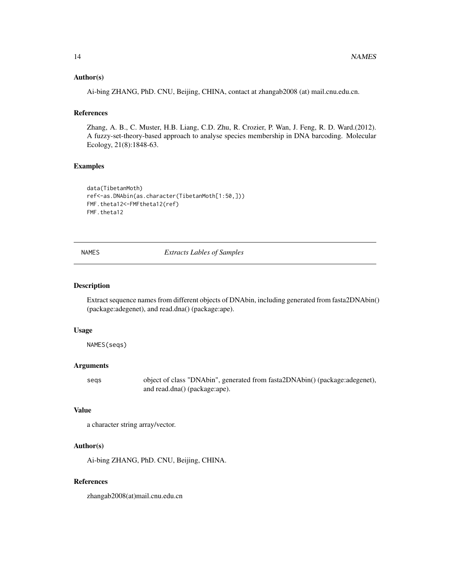#### <span id="page-13-0"></span>Author(s)

Ai-bing ZHANG, PhD. CNU, Beijing, CHINA, contact at zhangab2008 (at) mail.cnu.edu.cn.

# References

Zhang, A. B., C. Muster, H.B. Liang, C.D. Zhu, R. Crozier, P. Wan, J. Feng, R. D. Ward.(2012). A fuzzy-set-theory-based approach to analyse species membership in DNA barcoding. Molecular Ecology, 21(8):1848-63.

#### Examples

```
data(TibetanMoth)
ref<-as.DNAbin(as.character(TibetanMoth[1:50,]))
FMF.theta12<-FMFtheta12(ref)
FMF.theta12
```
NAMES *Extracts Lables of Samples*

#### Description

Extract sequence names from different objects of DNAbin, including generated from fasta2DNAbin() (package:adegenet), and read.dna() (package:ape).

#### Usage

NAMES(seqs)

#### Arguments

seqs object of class "DNAbin", generated from fasta2DNAbin() (package:adegenet), and read.dna() (package:ape).

# Value

```
a character string array/vector.
```
#### Author(s)

Ai-bing ZHANG, PhD. CNU, Beijing, CHINA.

#### References

zhangab2008(at)mail.cnu.edu.cn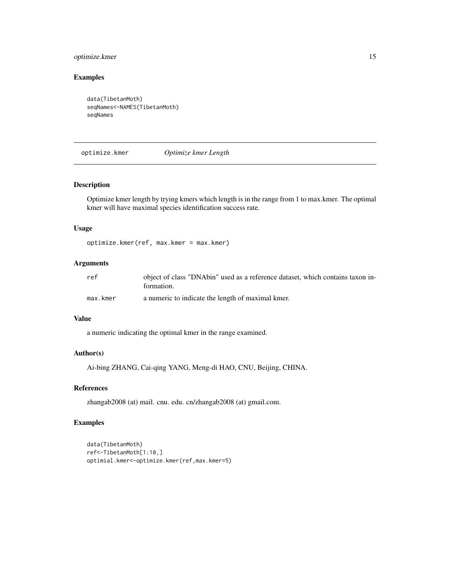# <span id="page-14-0"></span>optimize.kmer 15

# Examples

```
data(TibetanMoth)
seqNames<-NAMES(TibetanMoth)
seqNames
```
optimize.kmer *Optimize kmer Length*

# Description

Optimize kmer length by trying kmers which length is in the range from 1 to max.kmer. The optimal kmer will have maximal species identification success rate.

#### Usage

optimize.kmer(ref, max.kmer = max.kmer)

# Arguments

| ref      | object of class "DNAbin" used as a reference dataset, which contains taxon in-<br>formation. |
|----------|----------------------------------------------------------------------------------------------|
| max.kmer | a numeric to indicate the length of maximal kmer.                                            |

#### Value

a numeric indicating the optimal kmer in the range examined.

#### Author(s)

Ai-bing ZHANG, Cai-qing YANG, Meng-di HAO, CNU, Beijing, CHINA.

# References

zhangab2008 (at) mail. cnu. edu. cn/zhangab2008 (at) gmail.com.

```
data(TibetanMoth)
ref<-TibetanMoth[1:10,]
optimial.kmer<-optimize.kmer(ref,max.kmer=5)
```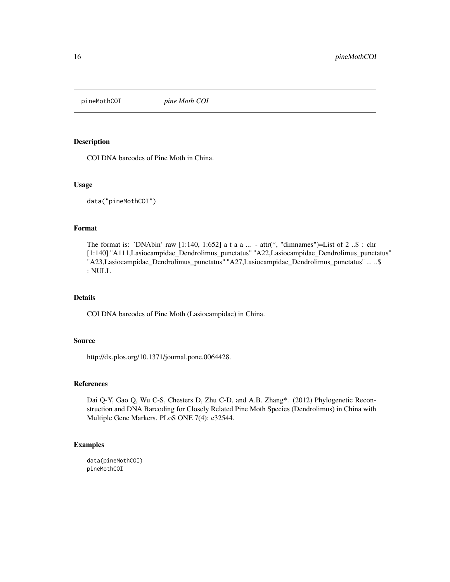<span id="page-15-0"></span>

# Description

COI DNA barcodes of Pine Moth in China.

#### Usage

data("pineMothCOI")

#### Format

The format is: 'DNAbin' raw [1:140, 1:652] a t a a  $\dots$  - attr(\*, "dimnames")=List of 2  $\ldots$ \$ : chr [1:140] "A111,Lasiocampidae\_Dendrolimus\_punctatus" "A22,Lasiocampidae\_Dendrolimus\_punctatus" "A23,Lasiocampidae\_Dendrolimus\_punctatus" "A27,Lasiocampidae\_Dendrolimus\_punctatus" ... ..\$ : NULL

# Details

COI DNA barcodes of Pine Moth (Lasiocampidae) in China.

#### Source

http://dx.plos.org/10.1371/journal.pone.0064428.

#### References

Dai Q-Y, Gao Q, Wu C-S, Chesters D, Zhu C-D, and A.B. Zhang\*. (2012) Phylogenetic Reconstruction and DNA Barcoding for Closely Related Pine Moth Species (Dendrolimus) in China with Multiple Gene Markers. PLoS ONE 7(4): e32544.

# Examples

data(pineMothCOI) pineMothCOI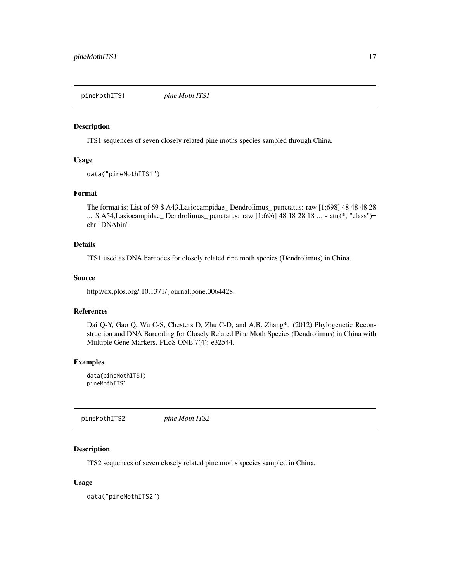<span id="page-16-0"></span>pineMothITS1 *pine Moth ITS1*

#### Description

ITS1 sequences of seven closely related pine moths species sampled through China.

#### Usage

```
data("pineMothITS1")
```
# Format

The format is: List of 69 \$ A43,Lasiocampidae\_ Dendrolimus\_ punctatus: raw [1:698] 48 48 48 28 ... \$ A54,Lasiocampidae\_ Dendrolimus\_ punctatus: raw [1:696] 48 18 28 18 ... - attr(\*, "class")= chr "DNAbin"

#### Details

ITS1 used as DNA barcodes for closely related rine moth species (Dendrolimus) in China.

#### Source

http://dx.plos.org/ 10.1371/ journal.pone.0064428.

# References

Dai Q-Y, Gao Q, Wu C-S, Chesters D, Zhu C-D, and A.B. Zhang\*. (2012) Phylogenetic Reconstruction and DNA Barcoding for Closely Related Pine Moth Species (Dendrolimus) in China with Multiple Gene Markers. PLoS ONE 7(4): e32544.

#### Examples

data(pineMothITS1) pineMothITS1

pineMothITS2 *pine Moth ITS2*

# Description

ITS2 sequences of seven closely related pine moths species sampled in China.

#### Usage

data("pineMothITS2")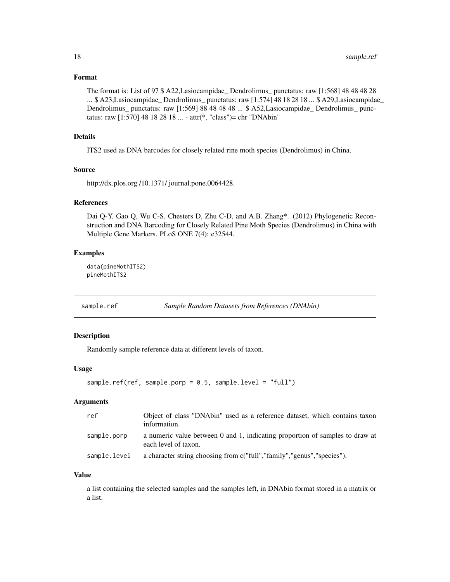#### <span id="page-17-0"></span>Format

The format is: List of 97 \$ A22,Lasiocampidae\_ Dendrolimus\_ punctatus: raw [1:568] 48 48 48 28 ... \$ A23,Lasiocampidae\_ Dendrolimus\_ punctatus: raw [1:574] 48 18 28 18 ... \$ A29,Lasiocampidae\_ Dendrolimus\_ punctatus: raw [1:569] 88 48 48 48 ... \$ A52,Lasiocampidae\_ Dendrolimus\_ punctatus: raw [1:570] 48 18 28 18 ... - attr(\*, "class")= chr "DNAbin"

#### Details

ITS2 used as DNA barcodes for closely related rine moth species (Dendrolimus) in China.

#### Source

http://dx.plos.org /10.1371/ journal.pone.0064428.

# References

Dai Q-Y, Gao Q, Wu C-S, Chesters D, Zhu C-D, and A.B. Zhang\*. (2012) Phylogenetic Reconstruction and DNA Barcoding for Closely Related Pine Moth Species (Dendrolimus) in China with Multiple Gene Markers. PLoS ONE 7(4): e32544.

#### Examples

data(pineMothITS2) pineMothITS2

sample.ref *Sample Random Datasets from References (DNAbin)*

#### Description

Randomly sample reference data at different levels of taxon.

#### Usage

```
sample.ref(ref, sample.porp = 0.5, sample.level = "full")
```
#### Arguments

| ref          | Object of class "DNAbin" used as a reference dataset, which contains taxon<br>information.           |
|--------------|------------------------------------------------------------------------------------------------------|
| sample.porp  | a numeric value between 0 and 1, indicating proportion of samples to draw at<br>each level of taxon. |
| sample.level | a character string choosing from c("full","family","genus","species").                               |

#### Value

a list containing the selected samples and the samples left, in DNAbin format stored in a matrix or a list.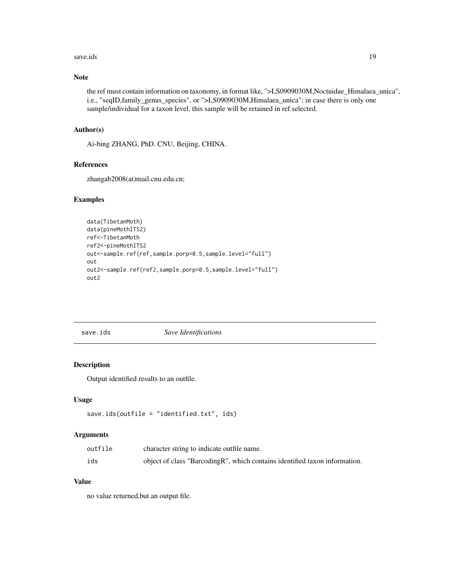#### <span id="page-18-0"></span>save.ids 19

# Note

the ref must contain information on taxonomy, in format like, ">LS0909030M,Noctuidae\_Himalaea\_unica", i.e., "seqID,family\_genus\_species", or ">LS0909030M,Himalaea\_unica"; in case there is only one sample/individual for a taxon level, this sample will be retained in ref.selected.

# Author(s)

Ai-bing ZHANG, PhD. CNU, Beijing, CHINA.

#### References

zhangab2008(at)mail.cnu.edu.cn;

#### Examples

```
data(TibetanMoth)
data(pineMothITS2)
ref<-TibetanMoth
ref2<-pineMothITS2
out<-sample.ref(ref,sample.porp=0.5,sample.level="full")
out
out2<-sample.ref(ref2,sample.porp=0.5,sample.level="full")
out2
```
save.ids *Save Identifications*

#### Description

Output identified results to an outfile.

# Usage

```
save.ids(outfile = "identified.txt", ids)
```
#### Arguments

| outfile | character string to indicate outfile name.                                  |
|---------|-----------------------------------------------------------------------------|
| ids     | object of class "Barcoding R", which contains identified taxon information. |

# Value

no value returned,but an output file.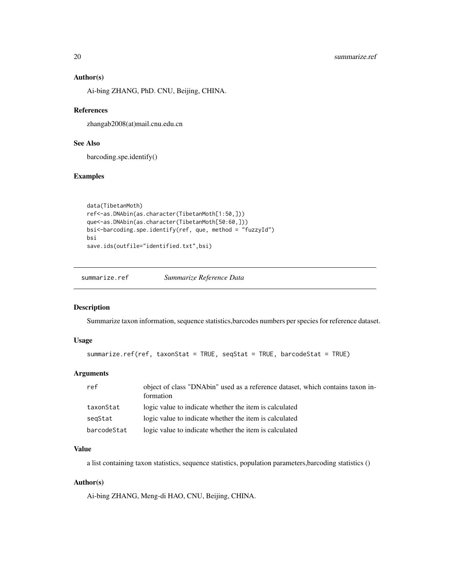#### <span id="page-19-0"></span>Author(s)

Ai-bing ZHANG, PhD. CNU, Beijing, CHINA.

#### References

zhangab2008(at)mail.cnu.edu.cn

# See Also

barcoding.spe.identify()

#### Examples

```
data(TibetanMoth)
ref<-as.DNAbin(as.character(TibetanMoth[1:50,]))
que<-as.DNAbin(as.character(TibetanMoth[50:60,]))
bsi<-barcoding.spe.identify(ref, que, method = "fuzzyId")
bsi
save.ids(outfile="identified.txt",bsi)
```
summarize.ref *Summarize Reference Data*

# Description

Summarize taxon information, sequence statistics,barcodes numbers per species for reference dataset.

# Usage

```
summarize.ref(ref, taxonStat = TRUE, seqStat = TRUE, barcodeStat = TRUE)
```
# Arguments

| ref         | object of class "DNAbin" used as a reference dataset, which contains taxon in-<br>formation |
|-------------|---------------------------------------------------------------------------------------------|
| taxonStat   | logic value to indicate whether the item is calculated                                      |
| segStat     | logic value to indicate whether the item is calculated                                      |
| barcodeStat | logic value to indicate whether the item is calculated                                      |

#### Value

a list containing taxon statistics, sequence statistics, population parameters,barcoding statistics ()

#### Author(s)

Ai-bing ZHANG, Meng-di HAO, CNU, Beijing, CHINA.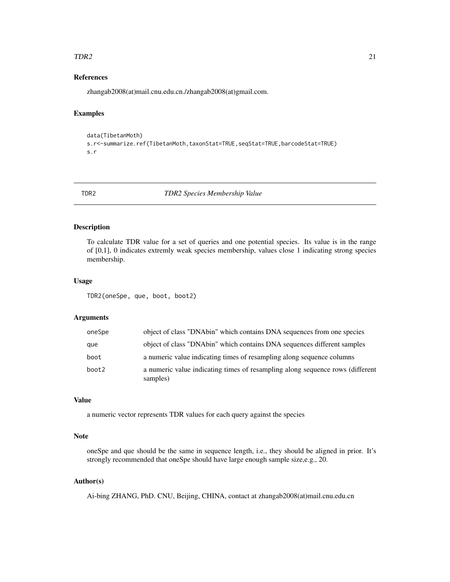#### <span id="page-20-0"></span> $TDR2$  21

# References

zhangab2008(at)mail.cnu.edu.cn./zhangab2008(at)gmail.com.

# Examples

```
data(TibetanMoth)
s.r<-summarize.ref(TibetanMoth,taxonStat=TRUE,seqStat=TRUE,barcodeStat=TRUE)
s.r
```
TDR2 *TDR2 Species Membership Value*

# Description

To calculate TDR value for a set of queries and one potential species. Its value is in the range of [0,1], 0 indicates extremly weak species membership, values close 1 indicating strong species membership.

#### Usage

TDR2(oneSpe, que, boot, boot2)

#### Arguments

| oneSpe | object of class "DNAbin" which contains DNA sequences from one species                    |
|--------|-------------------------------------------------------------------------------------------|
| que    | object of class "DNAbin" which contains DNA sequences different samples                   |
| boot   | a numeric value indicating times of resampling along sequence columns                     |
| boot2  | a numeric value indicating times of resampling along sequence rows (different<br>samples) |

# Value

a numeric vector represents TDR values for each query against the species

#### Note

oneSpe and que should be the same in sequence length, i.e., they should be aligned in prior. It's strongly recommended that oneSpe should have large enough sample size,e.g., 20.

# Author(s)

Ai-bing ZHANG, PhD. CNU, Beijing, CHINA, contact at zhangab2008(at)mail.cnu.edu.cn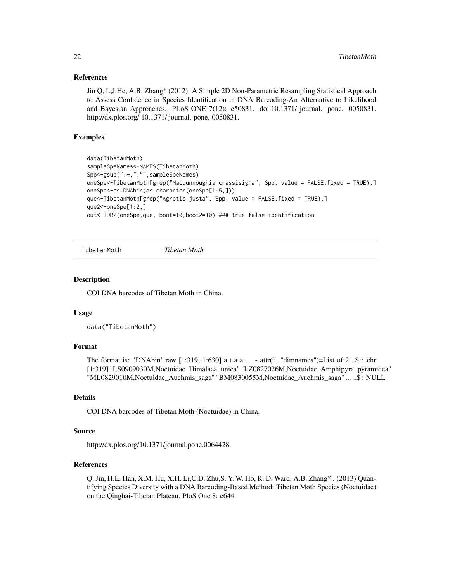#### <span id="page-21-0"></span>References

Jin Q, L,J.He, A.B. Zhang\* (2012). A Simple 2D Non-Parametric Resampling Statistical Approach to Assess Confidence in Species Identification in DNA Barcoding-An Alternative to Likelihood and Bayesian Approaches. PLoS ONE 7(12): e50831. doi:10.1371/ journal. pone. 0050831. http://dx.plos.org/ 10.1371/ journal. pone. 0050831.

#### Examples

```
data(TibetanMoth)
sampleSpeNames<-NAMES(TibetanMoth)
Spp<-gsub(".+,","",sampleSpeNames)
oneSpe<-TibetanMoth[grep("Macdunnoughia_crassisigna", Spp, value = FALSE,fixed = TRUE),]
oneSpe<-as.DNAbin(as.character(oneSpe[1:5,]))
que<-TibetanMoth[grep("Agrotis_justa", Spp, value = FALSE,fixed = TRUE),]
que2<-oneSpe[1:2,]
out<-TDR2(oneSpe,que, boot=10,boot2=10) ### true false identification
```
TibetanMoth *Tibetan Moth*

#### Description

COI DNA barcodes of Tibetan Moth in China.

#### Usage

data("TibetanMoth")

#### Format

The format is: 'DNAbin' raw  $[1:319, 1:630]$  a t a a ... - attr(\*, "dimnames")=List of 2..\$ : chr [1:319] "LS0909030M,Noctuidae\_Himalaea\_unica" "LZ0827026M,Noctuidae\_Amphipyra\_pyramidea" "ML0829010M,Noctuidae\_Auchmis\_saga" "BM0830055M,Noctuidae\_Auchmis\_saga" ... ..\$ : NULL

#### Details

COI DNA barcodes of Tibetan Moth (Noctuidae) in China.

#### Source

http://dx.plos.org/10.1371/journal.pone.0064428.

# References

Q. Jin, H.L. Han, X.M. Hu, X.H. Li,C.D. Zhu,S. Y. W. Ho, R. D. Ward, A.B. Zhang\* . (2013).Quantifying Species Diversity with a DNA Barcoding-Based Method: Tibetan Moth Species (Noctuidae) on the Qinghai-Tibetan Plateau. PloS One 8: e644.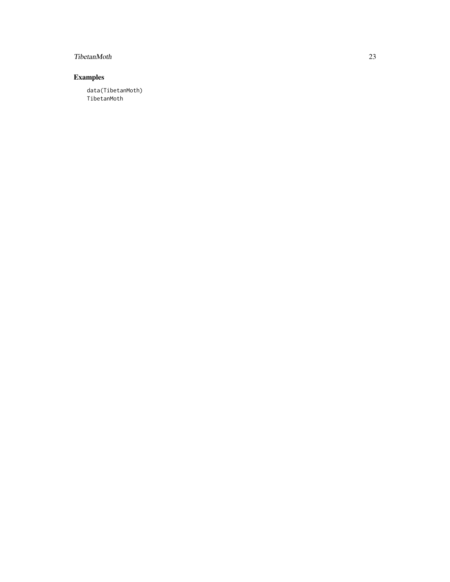# TibetanMoth 23

# Examples

data(TibetanMoth) TibetanMoth